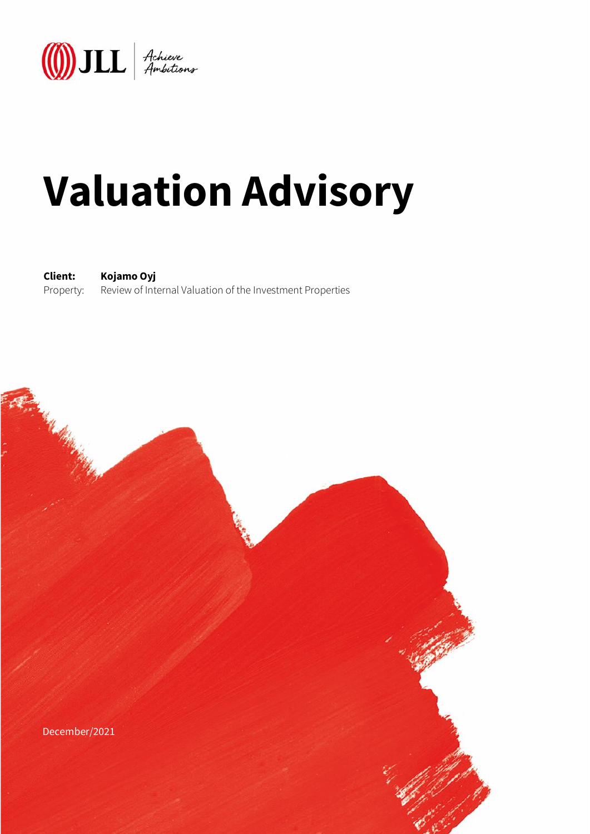

# **Valuation Advisory**

**Client: Kojamo Oyj** Property: Review of Internal Valuation of the Investment Properties

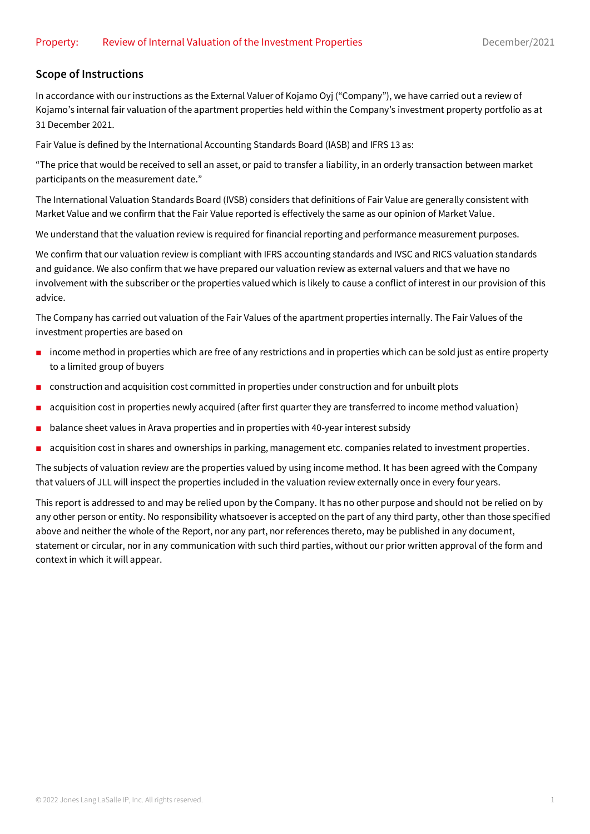#### **Scope of Instructions**

In accordance with our instructions as the External Valuer of Kojamo Oyj ("Company"), we have carried out a review of Kojamo's internal fair valuation of the apartment properties held within the Company's investment property portfolio as at 31 December 2021.

Fair Value is defined by the International Accounting Standards Board (IASB) and IFRS 13 as:

"The price that would be received to sell an asset, or paid to transfer a liability, in an orderly transaction between market participants on the measurement date."

The International Valuation Standards Board (IVSB) considers that definitions of Fair Value are generally consistent with Market Value and we confirm that the Fair Value reported is effectively the same as our opinion of Market Value.

We understand that the valuation review is required for financial reporting and performance measurement purposes.

We confirm that our valuation review is compliant with IFRS accounting standards and IVSC and RICS valuation standards and guidance. We also confirm that we have prepared our valuation review as external valuers and that we have no involvement with the subscriber or the properties valued which is likely to cause a conflict of interest in our provision of this advice.

The Company has carried out valuation of the Fair Values of the apartment properties internally. The Fair Values of the investment properties are based on

- income method in properties which are free of any restrictions and in properties which can be sold just as entire property to a limited group of buyers
- construction and acquisition cost committed in properties under construction and for unbuilt plots
- acquisition cost in properties newly acquired (after first quarter they are transferred to income method valuation)
- balance sheet values in Arava properties and in properties with 40-year interest subsidy
- acquisition cost in shares and ownerships in parking, management etc. companies related to investment properties.

The subjects of valuation review are the properties valued by using income method. It has been agreed with the Company that valuers of JLL will inspect the properties included in the valuation review externally once in every four years.

This report is addressed to and may be relied upon by the Company. It has no other purpose and should not be relied on by any other person or entity. No responsibility whatsoever is accepted on the part of any third party, other than those specified above and neither the whole of the Report, nor any part, nor references thereto, may be published in any document, statement or circular, nor in any communication with such third parties, without our prior written approval of the form and context in which it will appear.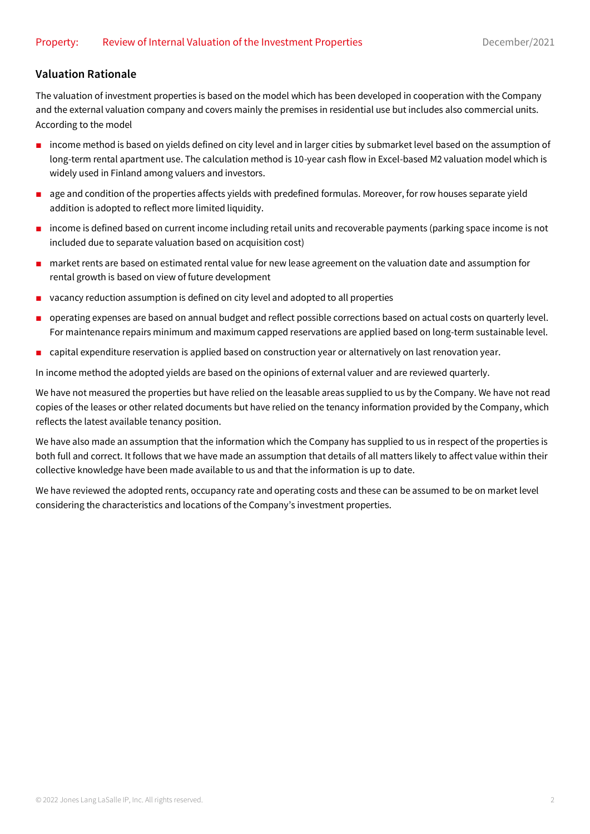### **Valuation Rationale**

The valuation of investment properties is based on the model which has been developed in cooperation with the Company and the external valuation company and covers mainly the premises in residential use but includes also commercial units. According to the model

- income method is based on yields defined on city level and in larger cities by submarket level based on the assumption of long-term rental apartment use. The calculation method is 10-year cash flow in Excel-based M2 valuation model which is widely used in Finland among valuers and investors.
- age and condition of the properties affects yields with predefined formulas. Moreover, for row houses separate yield addition is adopted to reflect more limited liquidity.
- income is defined based on current income including retail units and recoverable payments (parking space income is not included due to separate valuation based on acquisition cost)
- market rents are based on estimated rental value for new lease agreement on the valuation date and assumption for rental growth is based on view of future development
- vacancy reduction assumption is defined on city level and adopted to all properties
- operating expenses are based on annual budget and reflect possible corrections based on actual costs on quarterly level. For maintenance repairs minimum and maximum capped reservations are applied based on long-term sustainable level.
- capital expenditure reservation is applied based on construction year or alternatively on last renovation year.

In income method the adopted yields are based on the opinions of external valuer and are reviewed quarterly.

We have not measured the properties but have relied on the leasable areas supplied to us by the Company. We have not read copies of the leases or other related documents but have relied on the tenancy information provided by the Company, which reflects the latest available tenancy position.

We have also made an assumption that the information which the Company has supplied to us in respect of the properties is both full and correct. It follows that we have made an assumption that details of all matters likely to affect value within their collective knowledge have been made available to us and that the information is up to date.

We have reviewed the adopted rents, occupancy rate and operating costs and these can be assumed to be on market level considering the characteristics and locations of the Company's investment properties.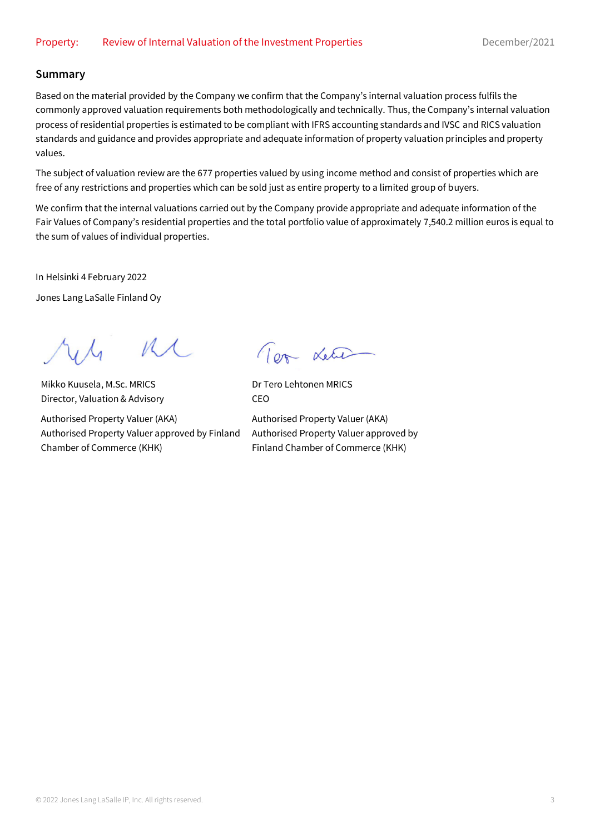#### **Summary**

Based on the material provided by the Company we confirm that the Company's internal valuation process fulfils the commonly approved valuation requirements both methodologically and technically. Thus, the Company's internal valuation process of residential properties is estimated to be compliant with IFRS accounting standards and IVSC and RICS valuation standards and guidance and provides appropriate and adequate information of property valuation principles and property values.

The subject of valuation review are the 677 properties valued by using income method and consist of properties which are free of any restrictions and properties which can be sold just as entire property to a limited group of buyers.

We confirm that the internal valuations carried out by the Company provide appropriate and adequate information of the Fair Values of Company's residential properties and the total portfolio value of approximately 7,540.2 million euros is equal to the sum of values of individual properties.

In Helsinki 4 February 2022

Jones Lang LaSalle Finland Oy

 $M \Lambda$ 

Mikko Kuusela, M.Sc. MRICS Director, Valuation & Advisory

Authorised Property Valuer (AKA) Authorised Property Valuer approved by Finland Chamber of Commerce (KHK)

Tom Letie

Dr Tero Lehtonen MRICS CEO

Authorised Property Valuer (AKA) Authorised Property Valuer approved by Finland Chamber of Commerce (KHK)